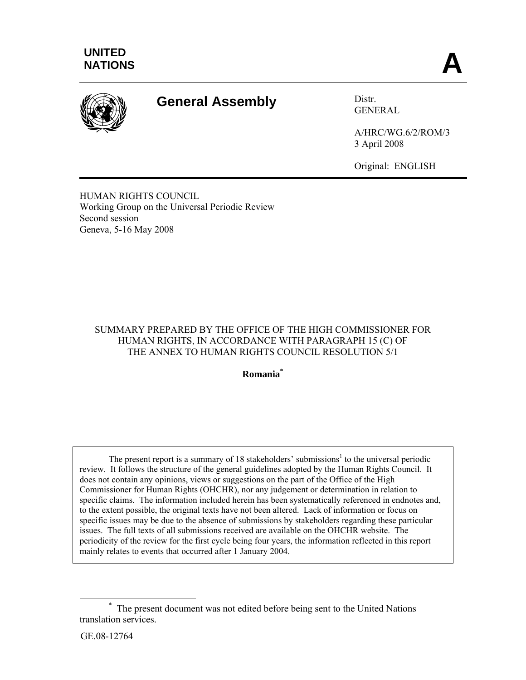

# **General Assembly** Distral

GENERAL

A/HRC/WG.6/2/ROM/3 3 April 2008

Original: ENGLISH

HUMAN RIGHTS COUNCIL Working Group on the Universal Periodic Review Second session Geneva, 5-16 May 2008

## SUMMARY PREPARED BY THE OFFICE OF THE HIGH COMMISSIONER FOR HUMAN RIGHTS, IN ACCORDANCE WITH PARAGRAPH 15 (C) OF THE ANNEX TO HUMAN RIGHTS COUNCIL RESOLUTION 5/1

**Romania\***

The present report is a summary of 18 stakeholders' submissions<sup>1</sup> to the universal periodic review. It follows the structure of the general guidelines adopted by the Human Rights Council. It does not contain any opinions, views or suggestions on the part of the Office of the High Commissioner for Human Rights (OHCHR), nor any judgement or determination in relation to specific claims. The information included herein has been systematically referenced in endnotes and, to the extent possible, the original texts have not been altered. Lack of information or focus on specific issues may be due to the absence of submissions by stakeholders regarding these particular issues. The full texts of all submissions received are available on the OHCHR website. The periodicity of the review for the first cycle being four years, the information reflected in this report mainly relates to events that occurred after 1 January 2004.

<sup>&</sup>lt;u>\*</u> The present document was not edited before being sent to the United Nations translation services.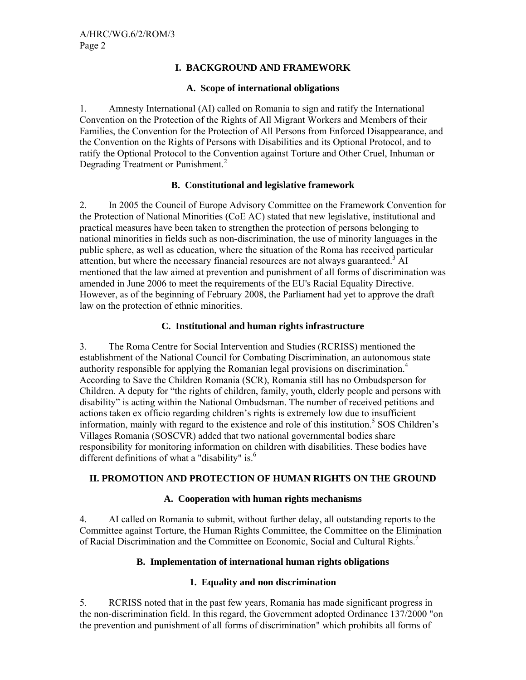#### **I. BACKGROUND AND FRAMEWORK**

#### **A. Scope of international obligations**

1. Amnesty International (AI) called on Romania to sign and ratify the International Convention on the Protection of the Rights of All Migrant Workers and Members of their Families, the Convention for the Protection of All Persons from Enforced Disappearance, and the Convention on the Rights of Persons with Disabilities and its Optional Protocol, and to ratify the Optional Protocol to the Convention against Torture and Other Cruel, Inhuman or Degrading Treatment or Punishment.<sup>2</sup>

## **B. Constitutional and legislative framework**

2. In 2005 the Council of Europe Advisory Committee on the Framework Convention for the Protection of National Minorities (CoE AC) stated that new legislative, institutional and practical measures have been taken to strengthen the protection of persons belonging to national minorities in fields such as non-discrimination, the use of minority languages in the public sphere, as well as education, where the situation of the Roma has received particular  $\hat{a}$  attention, but where the necessary financial resources are not always guaranteed.<sup>3</sup> AI mentioned that the law aimed at prevention and punishment of all forms of discrimination was amended in June 2006 to meet the requirements of the EU's Racial Equality Directive. However, as of the beginning of February 2008, the Parliament had yet to approve the draft law on the protection of ethnic minorities.

## **C. Institutional and human rights infrastructure**

3. The Roma Centre for Social Intervention and Studies (RCRISS) mentioned the establishment of the National Council for Combating Discrimination, an autonomous state authority responsible for applying the Romanian legal provisions on discrimination.<sup>4</sup> According to Save the Children Romania (SCR), Romania still has no Ombudsperson for Children. A deputy for "the rights of children, family, youth, elderly people and persons with disability" is acting within the National Ombudsman. The number of received petitions and actions taken ex officio regarding children's rights is extremely low due to insufficient information, mainly with regard to the existence and role of this institution.<sup>5</sup> SOS Children's Villages Romania (SOSCVR) added that two national governmental bodies share responsibility for monitoring information on children with disabilities. These bodies have different definitions of what a "disability" is.<sup>6</sup>

## **II. PROMOTION AND PROTECTION OF HUMAN RIGHTS ON THE GROUND**

## **A. Cooperation with human rights mechanisms**

4. AI called on Romania to submit, without further delay, all outstanding reports to the Committee against Torture, the Human Rights Committee, the Committee on the Elimination of Racial Discrimination and the Committee on Economic, Social and Cultural Rights.7

## **B. Implementation of international human rights obligations**

## **1. Equality and non discrimination**

5. RCRISS noted that in the past few years, Romania has made significant progress in the non-discrimination field. In this regard, the Government adopted Ordinance 137/2000 "on the prevention and punishment of all forms of discrimination" which prohibits all forms of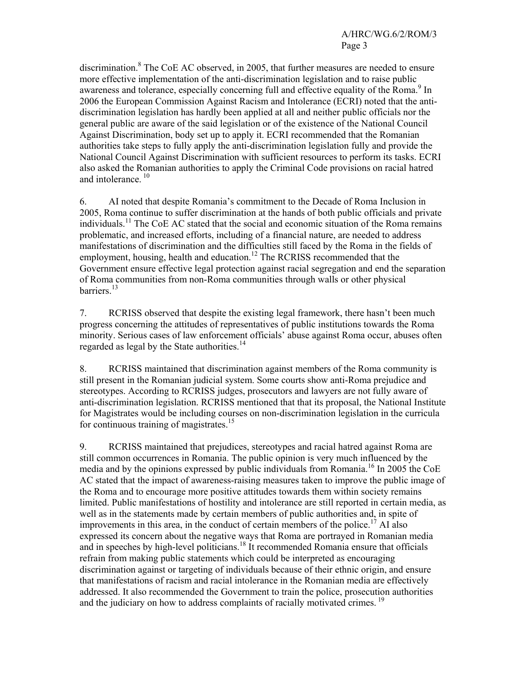discrimination.<sup>8</sup> The CoE AC observed, in 2005, that further measures are needed to ensure more effective implementation of the anti-discrimination legislation and to raise public awareness and tolerance, especially concerning full and effective equality of the Roma.<sup>9</sup> In 2006 the European Commission Against Racism and Intolerance (ECRI) noted that the antidiscrimination legislation has hardly been applied at all and neither public officials nor the general public are aware of the said legislation or of the existence of the National Council Against Discrimination, body set up to apply it. ECRI recommended that the Romanian authorities take steps to fully apply the anti-discrimination legislation fully and provide the National Council Against Discrimination with sufficient resources to perform its tasks. ECRI also asked the Romanian authorities to apply the Criminal Code provisions on racial hatred and intolerance.<sup>10</sup>

6. AI noted that despite Romania's commitment to the Decade of Roma Inclusion in 2005, Roma continue to suffer discrimination at the hands of both public officials and private individuals.11 The CoE AC stated that the social and economic situation of the Roma remains problematic, and increased efforts, including of a financial nature, are needed to address manifestations of discrimination and the difficulties still faced by the Roma in the fields of employment, housing, health and education.<sup>12</sup> The RCRISS recommended that the Government ensure effective legal protection against racial segregation and end the separation of Roma communities from non-Roma communities through walls or other physical barriers<sup>13</sup>

7. RCRISS observed that despite the existing legal framework, there hasn't been much progress concerning the attitudes of representatives of public institutions towards the Roma minority. Serious cases of law enforcement officials' abuse against Roma occur, abuses often regarded as legal by the State authorities.<sup>14</sup>

8. RCRISS maintained that discrimination against members of the Roma community is still present in the Romanian judicial system. Some courts show anti-Roma prejudice and stereotypes. According to RCRISS judges, prosecutors and lawyers are not fully aware of anti-discrimination legislation. RCRISS mentioned that that its proposal, the National Institute for Magistrates would be including courses on non-discrimination legislation in the curricula for continuous training of magistrates.<sup>15</sup>

9. RCRISS maintained that prejudices, stereotypes and racial hatred against Roma are still common occurrences in Romania. The public opinion is very much influenced by the media and by the opinions expressed by public individuals from Romania.<sup>16</sup> In 2005 the CoE AC stated that the impact of awareness-raising measures taken to improve the public image of the Roma and to encourage more positive attitudes towards them within society remains limited. Public manifestations of hostility and intolerance are still reported in certain media, as well as in the statements made by certain members of public authorities and, in spite of improvements in this area, in the conduct of certain members of the police.<sup>17</sup> AI also expressed its concern about the negative ways that Roma are portrayed in Romanian media and in speeches by high-level politicians.<sup>18</sup> It recommended Romania ensure that officials refrain from making public statements which could be interpreted as encouraging discrimination against or targeting of individuals because of their ethnic origin, and ensure that manifestations of racism and racial intolerance in the Romanian media are effectively addressed. It also recommended the Government to train the police, prosecution authorities and the judiciary on how to address complaints of racially motivated crimes.<sup>19</sup>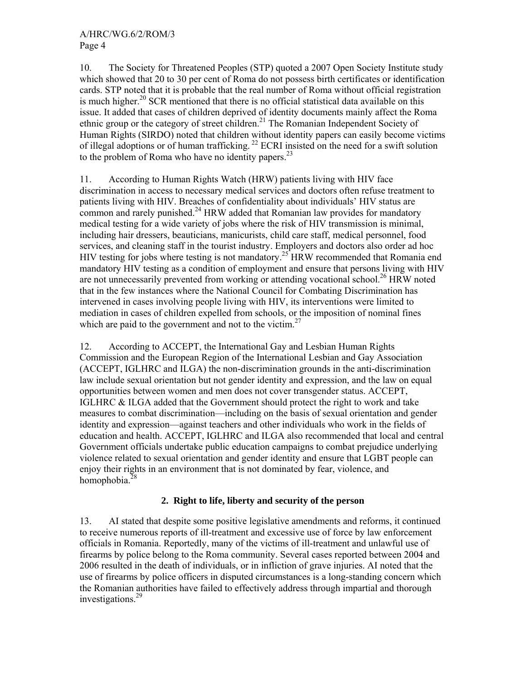10. The Society for Threatened Peoples (STP) quoted a 2007 Open Society Institute study which showed that 20 to 30 per cent of Roma do not possess birth certificates or identification cards. STP noted that it is probable that the real number of Roma without official registration is much higher.<sup>20</sup> SCR mentioned that there is no official statistical data available on this issue. It added that cases of children deprived of identity documents mainly affect the Roma ethnic group or the category of street children.<sup>21</sup> The Romanian Independent Society of Human Rights (SIRDO) noted that children without identity papers can easily become victims of illegal adoptions or of human trafficking.<sup>22</sup> ECRI insisted on the need for a swift solution to the problem of Roma who have no identity papers. $^{23}$ 

11. According to Human Rights Watch (HRW) patients living with HIV face discrimination in access to necessary medical services and doctors often refuse treatment to patients living with HIV. Breaches of confidentiality about individuals' HIV status are common and rarely punished.<sup>24</sup> HRW added that Romanian law provides for mandatory medical testing for a wide variety of jobs where the risk of HIV transmission is minimal, including hair dressers, beauticians, manicurists, child care staff, medical personnel, food services, and cleaning staff in the tourist industry. Employers and doctors also order ad hoc HIV testing for jobs where testing is not mandatory.<sup>25</sup> HRW recommended that Romania end mandatory HIV testing as a condition of employment and ensure that persons living with HIV are not unnecessarily prevented from working or attending vocational school.<sup>26</sup> HRW noted that in the few instances where the National Council for Combating Discrimination has intervened in cases involving people living with HIV, its interventions were limited to mediation in cases of children expelled from schools, or the imposition of nominal fines which are paid to the government and not to the victim.<sup>27</sup>

12. According to ACCEPT, the International Gay and Lesbian Human Rights Commission and the European Region of the International Lesbian and Gay Association (ACCEPT, IGLHRC and ILGA) the non-discrimination grounds in the anti-discrimination law include sexual orientation but not gender identity and expression, and the law on equal opportunities between women and men does not cover transgender status. ACCEPT, IGLHRC & ILGA added that the Government should protect the right to work and take measures to combat discrimination—including on the basis of sexual orientation and gender identity and expression—against teachers and other individuals who work in the fields of education and health. ACCEPT, IGLHRC and ILGA also recommended that local and central Government officials undertake public education campaigns to combat prejudice underlying violence related to sexual orientation and gender identity and ensure that LGBT people can enjoy their rights in an environment that is not dominated by fear, violence, and homophobia.28

## **2. Right to life, liberty and security of the person**

13. AI stated that despite some positive legislative amendments and reforms, it continued to receive numerous reports of ill-treatment and excessive use of force by law enforcement officials in Romania. Reportedly, many of the victims of ill-treatment and unlawful use of firearms by police belong to the Roma community. Several cases reported between 2004 and 2006 resulted in the death of individuals, or in infliction of grave injuries. AI noted that the use of firearms by police officers in disputed circumstances is a long-standing concern which the Romanian authorities have failed to effectively address through impartial and thorough investigations.29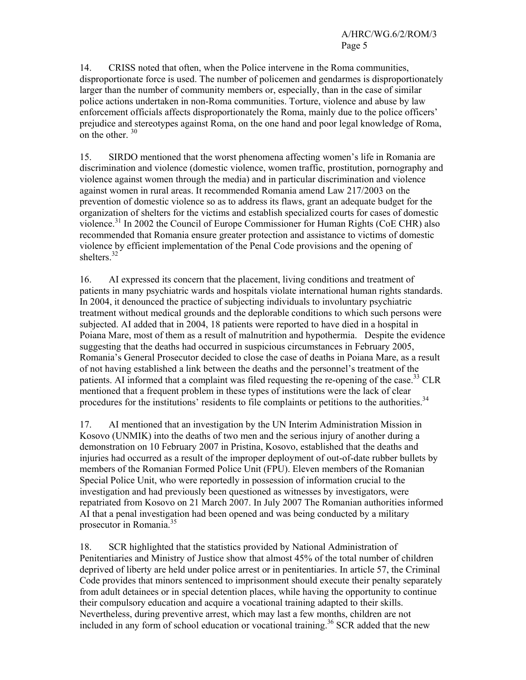14. CRISS noted that often, when the Police intervene in the Roma communities, disproportionate force is used. The number of policemen and gendarmes is disproportionately larger than the number of community members or, especially, than in the case of similar police actions undertaken in non-Roma communities. Torture, violence and abuse by law enforcement officials affects disproportionately the Roma, mainly due to the police officers' prejudice and stereotypes against Roma, on the one hand and poor legal knowledge of Roma, on the other  $30$ 

15. SIRDO mentioned that the worst phenomena affecting women's life in Romania are discrimination and violence (domestic violence, women traffic, prostitution, pornography and violence against women through the media) and in particular discrimination and violence against women in rural areas. It recommended Romania amend Law 217/2003 on the prevention of domestic violence so as to address its flaws, grant an adequate budget for the organization of shelters for the victims and establish specialized courts for cases of domestic violence.<sup>31</sup> In 2002 the Council of Europe Commissioner for Human Rights (CoE CHR) also recommended that Romania ensure greater protection and assistance to victims of domestic violence by efficient implementation of the Penal Code provisions and the opening of shelters.<sup>32</sup>

16. AI expressed its concern that the placement, living conditions and treatment of patients in many psychiatric wards and hospitals violate international human rights standards. In 2004, it denounced the practice of subjecting individuals to involuntary psychiatric treatment without medical grounds and the deplorable conditions to which such persons were subjected. AI added that in 2004, 18 patients were reported to have died in a hospital in Poiana Mare, most of them as a result of malnutrition and hypothermia. Despite the evidence suggesting that the deaths had occurred in suspicious circumstances in February 2005, Romania's General Prosecutor decided to close the case of deaths in Poiana Mare, as a result of not having established a link between the deaths and the personnel's treatment of the patients. AI informed that a complaint was filed requesting the re-opening of the case.<sup>33</sup> CLR mentioned that a frequent problem in these types of institutions were the lack of clear procedures for the institutions' residents to file complaints or petitions to the authorities.<sup>34</sup>

17. AI mentioned that an investigation by the UN Interim Administration Mission in Kosovo (UNMIK) into the deaths of two men and the serious injury of another during a demonstration on 10 February 2007 in Pristina, Kosovo, established that the deaths and injuries had occurred as a result of the improper deployment of out-of-date rubber bullets by members of the Romanian Formed Police Unit (FPU). Eleven members of the Romanian Special Police Unit, who were reportedly in possession of information crucial to the investigation and had previously been questioned as witnesses by investigators, were repatriated from Kosovo on 21 March 2007. In July 2007 The Romanian authorities informed AI that a penal investigation had been opened and was being conducted by a military prosecutor in Romania.35

18. SCR highlighted that the statistics provided by National Administration of Penitentiaries and Ministry of Justice show that almost 45% of the total number of children deprived of liberty are held under police arrest or in penitentiaries. In article 57, the Criminal Code provides that minors sentenced to imprisonment should execute their penalty separately from adult detainees or in special detention places, while having the opportunity to continue their compulsory education and acquire a vocational training adapted to their skills. Nevertheless, during preventive arrest, which may last a few months, children are not included in any form of school education or vocational training.<sup>36</sup> SCR added that the new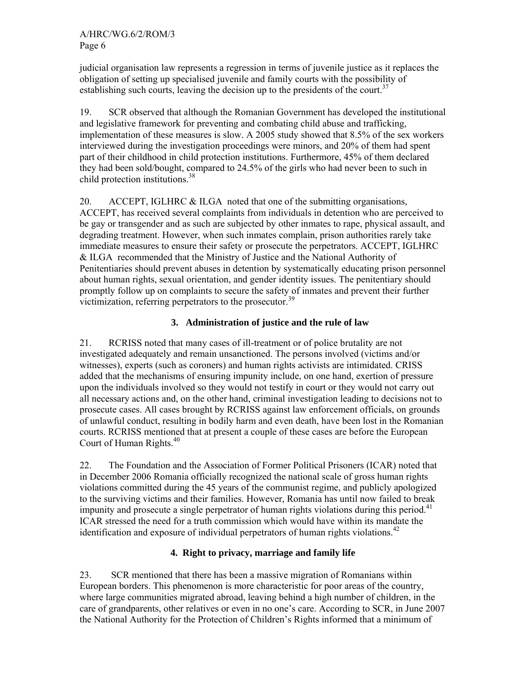judicial organisation law represents a regression in terms of juvenile justice as it replaces the obligation of setting up specialised juvenile and family courts with the possibility of establishing such courts, leaving the decision up to the presidents of the court.<sup>37</sup>

19. SCR observed that although the Romanian Government has developed the institutional and legislative framework for preventing and combating child abuse and trafficking, implementation of these measures is slow. A 2005 study showed that 8.5% of the sex workers interviewed during the investigation proceedings were minors, and 20% of them had spent part of their childhood in child protection institutions. Furthermore, 45% of them declared they had been sold/bought, compared to 24.5% of the girls who had never been to such in child protection institutions.<sup>38</sup>

20. ACCEPT, IGLHRC & ILGA noted that one of the submitting organisations, ACCEPT, has received several complaints from individuals in detention who are perceived to be gay or transgender and as such are subjected by other inmates to rape, physical assault, and degrading treatment. However, when such inmates complain, prison authorities rarely take immediate measures to ensure their safety or prosecute the perpetrators. ACCEPT, IGLHRC & ILGA recommended that the Ministry of Justice and the National Authority of Penitentiaries should prevent abuses in detention by systematically educating prison personnel about human rights, sexual orientation, and gender identity issues. The penitentiary should promptly follow up on complaints to secure the safety of inmates and prevent their further victimization, referring perpetrators to the prosecutor.<sup>39</sup>

## **3. Administration of justice and the rule of law**

21. RCRISS noted that many cases of ill-treatment or of police brutality are not investigated adequately and remain unsanctioned. The persons involved (victims and/or witnesses), experts (such as coroners) and human rights activists are intimidated. CRISS added that the mechanisms of ensuring impunity include, on one hand, exertion of pressure upon the individuals involved so they would not testify in court or they would not carry out all necessary actions and, on the other hand, criminal investigation leading to decisions not to prosecute cases. All cases brought by RCRISS against law enforcement officials, on grounds of unlawful conduct, resulting in bodily harm and even death, have been lost in the Romanian courts. RCRISS mentioned that at present a couple of these cases are before the European Court of Human Rights.<sup>40</sup>

22. The Foundation and the Association of Former Political Prisoners (ICAR) noted that in December 2006 Romania officially recognized the national scale of gross human rights violations committed during the 45 years of the communist regime, and publicly apologized to the surviving victims and their families. However, Romania has until now failed to break impunity and prosecute a single perpetrator of human rights violations during this period.<sup>41</sup> ICAR stressed the need for a truth commission which would have within its mandate the identification and exposure of individual perpetrators of human rights violations.<sup>42</sup>

## **4. Right to privacy, marriage and family life**

23. SCR mentioned that there has been a massive migration of Romanians within European borders. This phenomenon is more characteristic for poor areas of the country, where large communities migrated abroad, leaving behind a high number of children, in the care of grandparents, other relatives or even in no one's care. According to SCR, in June 2007 the National Authority for the Protection of Children's Rights informed that a minimum of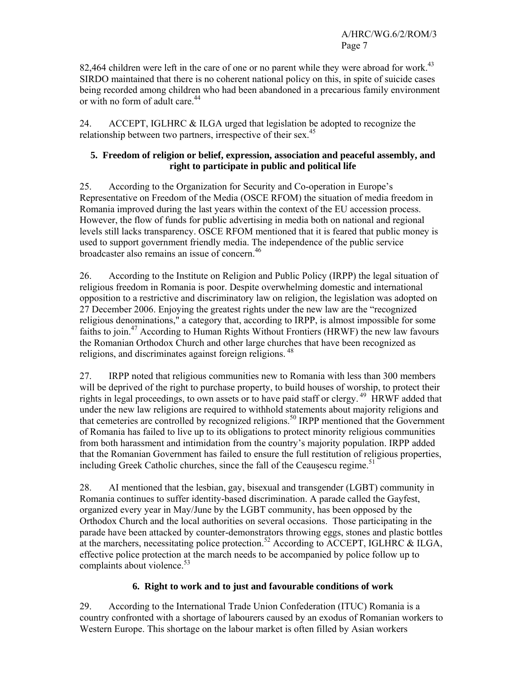82,464 children were left in the care of one or no parent while they were abroad for work.<sup>43</sup> SIRDO maintained that there is no coherent national policy on this, in spite of suicide cases being recorded among children who had been abandoned in a precarious family environment or with no form of adult care.<sup>44</sup>

24. ACCEPT, IGLHRC & ILGA urged that legislation be adopted to recognize the relationship between two partners, irrespective of their sex.<sup>45</sup>

## **5. Freedom of religion or belief, expression, association and peaceful assembly, and right to participate in public and political life**

25. According to the Organization for Security and Co-operation in Europe's Representative on Freedom of the Media (OSCE RFOM) the situation of media freedom in Romania improved during the last years within the context of the EU accession process. However, the flow of funds for public advertising in media both on national and regional levels still lacks transparency. OSCE RFOM mentioned that it is feared that public money is used to support government friendly media. The independence of the public service broadcaster also remains an issue of concern.46

26. According to the Institute on Religion and Public Policy (IRPP) the legal situation of religious freedom in Romania is poor. Despite overwhelming domestic and international opposition to a restrictive and discriminatory law on religion, the legislation was adopted on 27 December 2006. Enjoying the greatest rights under the new law are the "recognized religious denominations," a category that, according to IRPP, is almost impossible for some faiths to join.<sup>47</sup> According to Human Rights Without Frontiers (HRWF) the new law favours the Romanian Orthodox Church and other large churches that have been recognized as religions, and discriminates against foreign religions. 48

27. IRPP noted that religious communities new to Romania with less than 300 members will be deprived of the right to purchase property, to build houses of worship, to protect their rights in legal proceedings, to own assets or to have paid staff or clergy.<sup>49</sup> HRWF added that under the new law religions are required to withhold statements about majority religions and that cemeteries are controlled by recognized religions.<sup>50</sup> IRPP mentioned that the Government of Romania has failed to live up to its obligations to protect minority religious communities from both harassment and intimidation from the country's majority population. IRPP added that the Romanian Government has failed to ensure the full restitution of religious properties, including Greek Catholic churches, since the fall of the Ceausescu regime. $51$ 

28. AI mentioned that the lesbian, gay, bisexual and transgender (LGBT) community in Romania continues to suffer identity-based discrimination. A parade called the Gayfest, organized every year in May/June by the LGBT community, has been opposed by the Orthodox Church and the local authorities on several occasions. Those participating in the parade have been attacked by counter-demonstrators throwing eggs, stones and plastic bottles at the marchers, necessitating police protection.<sup>52</sup> According to ACCEPT, IGLHRC & ILGA, effective police protection at the march needs to be accompanied by police follow up to complaints about violence. $53$ 

## **6. Right to work and to just and favourable conditions of work**

29. According to the International Trade Union Confederation (ITUC) Romania is a country confronted with a shortage of labourers caused by an exodus of Romanian workers to Western Europe. This shortage on the labour market is often filled by Asian workers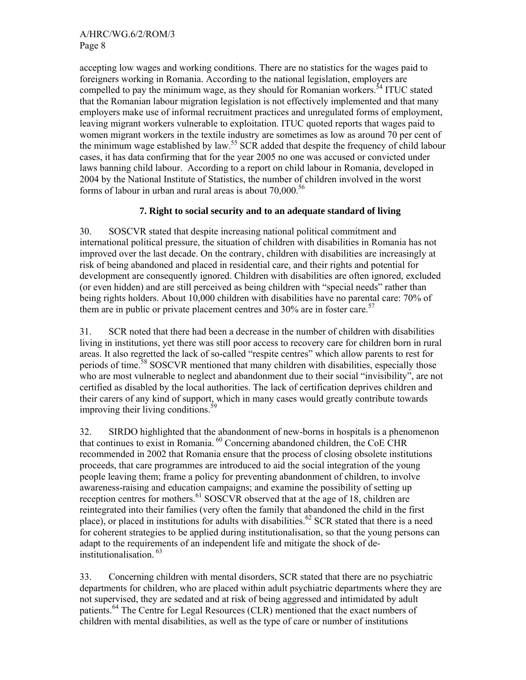accepting low wages and working conditions. There are no statistics for the wages paid to foreigners working in Romania. According to the national legislation, employers are compelled to pay the minimum wage, as they should for Romanian workers.<sup>54</sup> ITUC stated that the Romanian labour migration legislation is not effectively implemented and that many employers make use of informal recruitment practices and unregulated forms of employment, leaving migrant workers vulnerable to exploitation. ITUC quoted reports that wages paid to women migrant workers in the textile industry are sometimes as low as around 70 per cent of the minimum wage established by law.<sup>55</sup> SCR added that despite the frequency of child labour cases, it has data confirming that for the year 2005 no one was accused or convicted under laws banning child labour. According to a report on child labour in Romania, developed in 2004 by the National Institute of Statistics, the number of children involved in the worst forms of labour in urban and rural areas is about  $70,000^{56}$ 

## **7. Right to social security and to an adequate standard of living**

30. SOSCVR stated that despite increasing national political commitment and international political pressure, the situation of children with disabilities in Romania has not improved over the last decade. On the contrary, children with disabilities are increasingly at risk of being abandoned and placed in residential care, and their rights and potential for development are consequently ignored. Children with disabilities are often ignored, excluded (or even hidden) and are still perceived as being children with "special needs" rather than being rights holders. About 10,000 children with disabilities have no parental care: 70% of them are in public or private placement centres and  $30\%$  are in foster care.<sup>57</sup>

31. SCR noted that there had been a decrease in the number of children with disabilities living in institutions, yet there was still poor access to recovery care for children born in rural areas. It also regretted the lack of so-called "respite centres" which allow parents to rest for periods of time.58 SOSCVR mentioned that many children with disabilities, especially those who are most vulnerable to neglect and abandonment due to their social "invisibility", are not certified as disabled by the local authorities. The lack of certification deprives children and their carers of any kind of support, which in many cases would greatly contribute towards improving their living conditions.<sup>59</sup>

32. SIRDO highlighted that the abandonment of new-borns in hospitals is a phenomenon that continues to exist in Romania. 60 Concerning abandoned children, the CoE CHR recommended in 2002 that Romania ensure that the process of closing obsolete institutions proceeds, that care programmes are introduced to aid the social integration of the young people leaving them; frame a policy for preventing abandonment of children, to involve awareness-raising and education campaigns; and examine the possibility of setting up reception centres for mothers.<sup>61</sup> SOSCVR observed that at the age of 18, children are reintegrated into their families (very often the family that abandoned the child in the first place), or placed in institutions for adults with disabilities.<sup>62</sup> SCR stated that there is a need for coherent strategies to be applied during institutionalisation, so that the young persons can adapt to the requirements of an independent life and mitigate the shock of deinstitutionalisation. 63

33. Concerning children with mental disorders, SCR stated that there are no psychiatric departments for children, who are placed within adult psychiatric departments where they are not supervised, they are sedated and at risk of being aggressed and intimidated by adult patients.64 The Centre for Legal Resources (CLR) mentioned that the exact numbers of children with mental disabilities, as well as the type of care or number of institutions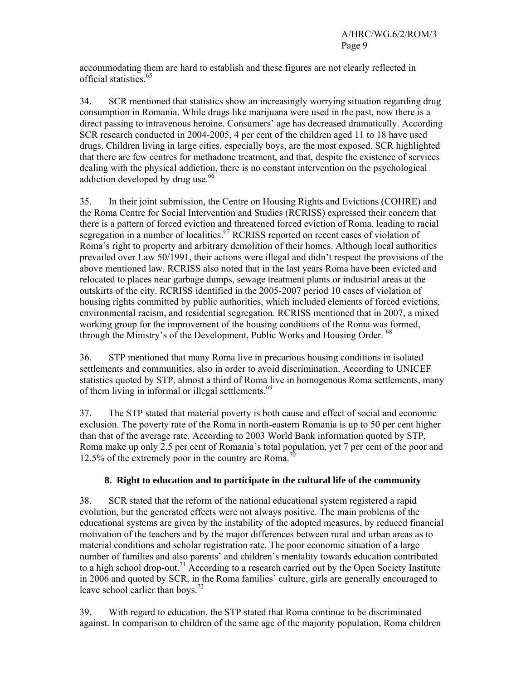accommodating them are hard to establish and these figures are not clearly reflected in official statistics.<sup>65</sup>

34. SCR mentioned that statistics show an increasingly worrying situation regarding drug consumption in Romania. While drugs like marijuana were used in the past, now there is a direct passing to intravenous heroine. Consumers' age has decreased dramatically. According SCR research conducted in 2004-2005, 4 per cent of the children aged 11 to 18 have used drugs. Children living in large cities, especially boys, are the most exposed. SCR highlighted that there are few centres for methadone treatment, and that, despite the existence of services dealing with the physical addiction, there is no constant intervention on the psychological addiction developed by drug use.<sup>66</sup>

35. In their joint submission, the Centre on Housing Rights and Evictions (COHRE) and the Roma Centre for Social Intervention and Studies (RCRISS) expressed their concern that there is a pattern of forced eviction and threatened forced eviction of Roma, leading to racial segregation in a number of localities.<sup>67</sup> RCRISS reported on recent cases of violation of Roma's right to property and arbitrary demolition of their homes. Although local authorities prevailed over Law 50/1991, their actions were illegal and didn't respect the provisions of the above mentioned law. RCRISS also noted that in the last years Roma have been evicted and relocated to places near garbage dumps, sewage treatment plants or industrial areas at the outskirts of the city. RCRISS identified in the 2005-2007 period 10 cases of violation of housing rights committed by public authorities, which included elements of forced evictions, environmental racism, and residential segregation. RCRISS mentioned that in 2007, a mixed working group for the improvement of the housing conditions of the Roma was formed, through the Ministry's of the Development, Public Works and Housing Order. <sup>68</sup>

36. STP mentioned that many Roma live in precarious housing conditions in isolated settlements and communities, also in order to avoid discrimination. According to UNICEF statistics quoted by STP, almost a third of Roma live in homogenous Roma settlements, many of them living in informal or illegal settlements.<sup>69</sup>

37. The STP stated that material poverty is both cause and effect of social and economic exclusion. The poverty rate of the Roma in north-eastern Romania is up to 50 per cent higher than that of the average rate. According to 2003 World Bank information quoted by STP, Roma make up only 2.5 per cent of Romania's total population, yet 7 per cent of the poor and 12.5% of the extremely poor in the country are Roma.<sup>7</sup>

## **8. Right to education and to participate in the cultural life of the community**

38. SCR stated that the reform of the national educational system registered a rapid evolution, but the generated effects were not always positive. The main problems of the educational systems are given by the instability of the adopted measures, by reduced financial motivation of the teachers and by the major differences between rural and urban areas as to material conditions and scholar registration rate. The poor economic situation of a large number of families and also parents' and children's mentality towards education contributed to a high school drop-out.<sup>71</sup> According to a research carried out by the Open Society Institute in 2006 and quoted by SCR, in the Roma families' culture, girls are generally encouraged to leave school earlier than boys.<sup>72</sup>

39. With regard to education, the STP stated that Roma continue to be discriminated against. In comparison to children of the same age of the majority population, Roma children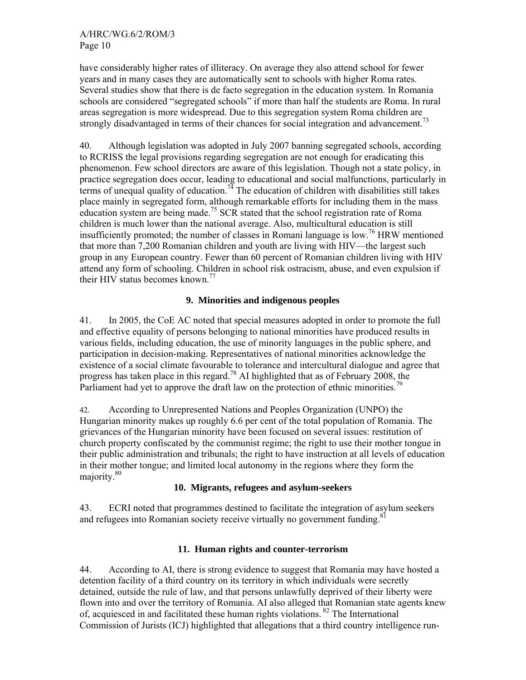have considerably higher rates of illiteracy. On average they also attend school for fewer years and in many cases they are automatically sent to schools with higher Roma rates. Several studies show that there is de facto segregation in the education system. In Romania schools are considered "segregated schools" if more than half the students are Roma. In rural areas segregation is more widespread. Due to this segregation system Roma children are strongly disadvantaged in terms of their chances for social integration and advancement.<sup>73</sup>

40. Although legislation was adopted in July 2007 banning segregated schools, according to RCRISS the legal provisions regarding segregation are not enough for eradicating this phenomenon. Few school directors are aware of this legislation. Though not a state policy, in practice segregation does occur, leading to educational and social malfunctions, particularly in terms of unequal quality of education.<sup>74</sup> The education of children with disabilities still takes place mainly in segregated form, although remarkable efforts for including them in the mass education system are being made.<sup>75</sup> SCR stated that the school registration rate of Roma children is much lower than the national average. Also, multicultural education is still insufficiently promoted; the number of classes in Romani language is low.<sup>76</sup> HRW mentioned that more than 7,200 Romanian children and youth are living with HIV—the largest such group in any European country. Fewer than 60 percent of Romanian children living with HIV attend any form of schooling. Children in school risk ostracism, abuse, and even expulsion if their HIV status becomes known.<sup>77</sup>

## **9. Minorities and indigenous peoples**

41. In 2005, the CoE AC noted that special measures adopted in order to promote the full and effective equality of persons belonging to national minorities have produced results in various fields, including education, the use of minority languages in the public sphere, and participation in decision-making. Representatives of national minorities acknowledge the existence of a social climate favourable to tolerance and intercultural dialogue and agree that progress has taken place in this regard.<sup>78</sup> AI highlighted that as of February 2008, the Parliament had yet to approve the draft law on the protection of ethnic minorities.<sup>79</sup>

42. According to Unrepresented Nations and Peoples Organization (UNPO) the Hungarian minority makes up roughly 6.6 per cent of the total population of Romania. The grievances of the Hungarian minority have been focused on several issues: restitution of church property confiscated by the communist regime; the right to use their mother tongue in their public administration and tribunals; the right to have instruction at all levels of education in their mother tongue; and limited local autonomy in the regions where they form the majority.<sup>80</sup>

## **10. Migrants, refugees and asylum-seekers**

43. ECRI noted that programmes destined to facilitate the integration of asylum seekers and refugees into Romanian society receive virtually no government funding.<sup>8</sup>

## **11. Human rights and counter-terrorism**

44. According to AI, there is strong evidence to suggest that Romania may have hosted a detention facility of a third country on its territory in which individuals were secretly detained, outside the rule of law, and that persons unlawfully deprived of their liberty were flown into and over the territory of Romania. AI also alleged that Romanian state agents knew of, acquiesced in and facilitated these human rights violations. 82 The International Commission of Jurists (ICJ) highlighted that allegations that a third country intelligence run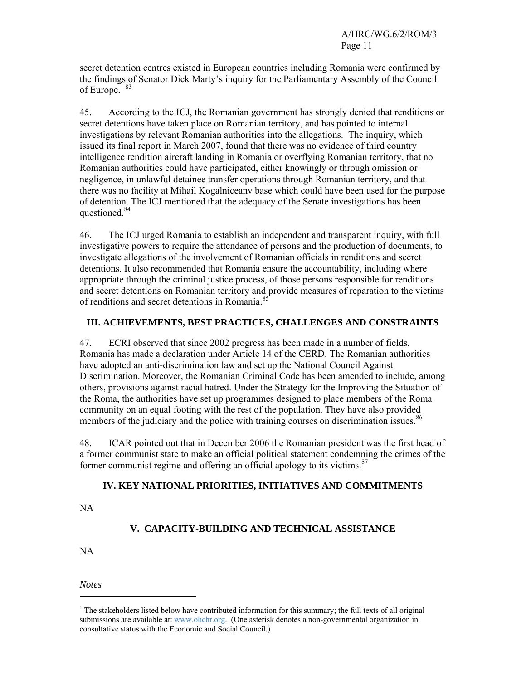secret detention centres existed in European countries including Romania were confirmed by the findings of Senator Dick Marty's inquiry for the Parliamentary Assembly of the Council of Europe. <sup>83</sup>

45. According to the ICJ, the Romanian government has strongly denied that renditions or secret detentions have taken place on Romanian territory, and has pointed to internal investigations by relevant Romanian authorities into the allegations. The inquiry, which issued its final report in March 2007, found that there was no evidence of third country intelligence rendition aircraft landing in Romania or overflying Romanian territory, that no Romanian authorities could have participated, either knowingly or through omission or negligence, in unlawful detainee transfer operations through Romanian territory, and that there was no facility at Mihail Kogalniceanv base which could have been used for the purpose of detention. The ICJ mentioned that the adequacy of the Senate investigations has been questioned.<sup>84</sup>

46. The ICJ urged Romania to establish an independent and transparent inquiry, with full investigative powers to require the attendance of persons and the production of documents, to investigate allegations of the involvement of Romanian officials in renditions and secret detentions. It also recommended that Romania ensure the accountability, including where appropriate through the criminal justice process, of those persons responsible for renditions and secret detentions on Romanian territory and provide measures of reparation to the victims of renditions and secret detentions in Romania.<sup>85</sup>

## **III. ACHIEVEMENTS, BEST PRACTICES, CHALLENGES AND CONSTRAINTS**

47. ECRI observed that since 2002 progress has been made in a number of fields. Romania has made a declaration under Article 14 of the CERD. The Romanian authorities have adopted an anti-discrimination law and set up the National Council Against Discrimination. Moreover, the Romanian Criminal Code has been amended to include, among others, provisions against racial hatred. Under the Strategy for the Improving the Situation of the Roma, the authorities have set up programmes designed to place members of the Roma community on an equal footing with the rest of the population. They have also provided members of the judiciary and the police with training courses on discrimination issues.<sup>86</sup>

48. ICAR pointed out that in December 2006 the Romanian president was the first head of a former communist state to make an official political statement condemning the crimes of the former communist regime and offering an official apology to its victims.<sup>87</sup>

## **IV. KEY NATIONAL PRIORITIES, INITIATIVES AND COMMITMENTS**

NA

## **V. CAPACITY-BUILDING AND TECHNICAL ASSISTANCE**

NA

*Notes* 

 $\overline{a}$ 

<sup>&</sup>lt;sup>1</sup> The stakeholders listed below have contributed information for this summary; the full texts of all original submissions are available at: www.ohchr.org. (One asterisk denotes a non-governmental organization in consultative status with the Economic and Social Council.)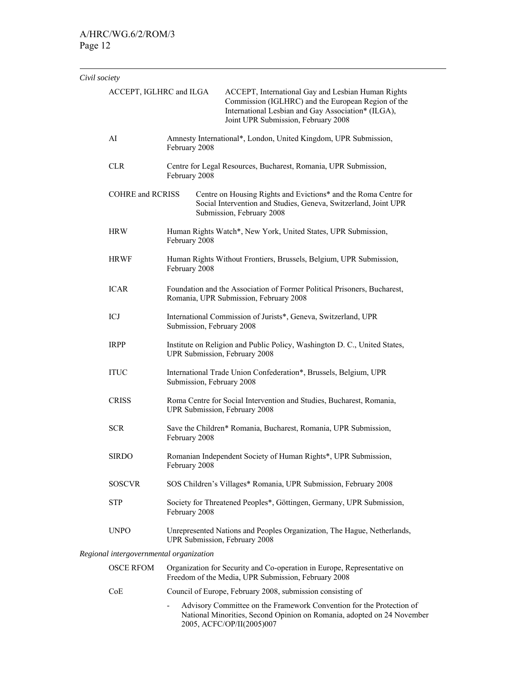$\overline{a}$ 

| Civil society |                                                                                                                                                                                                                                                                                                                                                                                                                                                                                                        |                                                                                                                                |                                                                                                                                                                                                                                    |  |
|---------------|--------------------------------------------------------------------------------------------------------------------------------------------------------------------------------------------------------------------------------------------------------------------------------------------------------------------------------------------------------------------------------------------------------------------------------------------------------------------------------------------------------|--------------------------------------------------------------------------------------------------------------------------------|------------------------------------------------------------------------------------------------------------------------------------------------------------------------------------------------------------------------------------|--|
|               | ACCEPT, IGLHRC and ILGA                                                                                                                                                                                                                                                                                                                                                                                                                                                                                |                                                                                                                                | ACCEPT, International Gay and Lesbian Human Rights<br>Commission (IGLHRC) and the European Region of the<br>International Lesbian and Gay Association* (ILGA),<br>Joint UPR Submission, February 2008                              |  |
|               | AI                                                                                                                                                                                                                                                                                                                                                                                                                                                                                                     | Amnesty International*, London, United Kingdom, UPR Submission,<br>February 2008                                               |                                                                                                                                                                                                                                    |  |
|               | <b>CLR</b>                                                                                                                                                                                                                                                                                                                                                                                                                                                                                             | February 2008                                                                                                                  | Centre for Legal Resources, Bucharest, Romania, UPR Submission,<br>Centre on Housing Rights and Evictions* and the Roma Centre for<br>Social Intervention and Studies, Geneva, Switzerland, Joint UPR<br>Submission, February 2008 |  |
|               | <b>COHRE</b> and <b>RCRISS</b>                                                                                                                                                                                                                                                                                                                                                                                                                                                                         |                                                                                                                                |                                                                                                                                                                                                                                    |  |
|               | <b>HRW</b><br>February 2008<br><b>HRWF</b><br>February 2008<br><b>ICAR</b>                                                                                                                                                                                                                                                                                                                                                                                                                             |                                                                                                                                | Human Rights Watch*, New York, United States, UPR Submission,                                                                                                                                                                      |  |
|               |                                                                                                                                                                                                                                                                                                                                                                                                                                                                                                        |                                                                                                                                | Human Rights Without Frontiers, Brussels, Belgium, UPR Submission,                                                                                                                                                                 |  |
|               |                                                                                                                                                                                                                                                                                                                                                                                                                                                                                                        |                                                                                                                                | Foundation and the Association of Former Political Prisoners, Bucharest,<br>Romania, UPR Submission, February 2008                                                                                                                 |  |
|               | ICJ                                                                                                                                                                                                                                                                                                                                                                                                                                                                                                    | International Commission of Jurists*, Geneva, Switzerland, UPR<br>Submission, February 2008                                    |                                                                                                                                                                                                                                    |  |
|               | <b>IRPP</b><br>UPR Submission, February 2008<br><b>ITUC</b><br>International Trade Union Confederation*, Brussels, Belgium, UPR<br>Submission, February 2008<br><b>CRISS</b><br>UPR Submission, February 2008<br><b>SCR</b><br>Save the Children* Romania, Bucharest, Romania, UPR Submission,<br>February 2008<br>Romanian Independent Society of Human Rights*, UPR Submission,<br><b>SIRDO</b><br>February 2008<br><b>SOSCVR</b><br>SOS Children's Villages* Romania, UPR Submission, February 2008 |                                                                                                                                | Institute on Religion and Public Policy, Washington D. C., United States,                                                                                                                                                          |  |
|               |                                                                                                                                                                                                                                                                                                                                                                                                                                                                                                        |                                                                                                                                |                                                                                                                                                                                                                                    |  |
|               |                                                                                                                                                                                                                                                                                                                                                                                                                                                                                                        |                                                                                                                                | Roma Centre for Social Intervention and Studies, Bucharest, Romania,                                                                                                                                                               |  |
|               |                                                                                                                                                                                                                                                                                                                                                                                                                                                                                                        |                                                                                                                                |                                                                                                                                                                                                                                    |  |
|               |                                                                                                                                                                                                                                                                                                                                                                                                                                                                                                        |                                                                                                                                |                                                                                                                                                                                                                                    |  |
|               |                                                                                                                                                                                                                                                                                                                                                                                                                                                                                                        |                                                                                                                                |                                                                                                                                                                                                                                    |  |
|               | <b>STP</b>                                                                                                                                                                                                                                                                                                                                                                                                                                                                                             | Society for Threatened Peoples*, Göttingen, Germany, UPR Submission,<br>February 2008                                          |                                                                                                                                                                                                                                    |  |
|               | <b>UNPO</b>                                                                                                                                                                                                                                                                                                                                                                                                                                                                                            |                                                                                                                                | Unrepresented Nations and Peoples Organization, The Hague, Netherlands,<br>UPR Submission, February 2008                                                                                                                           |  |
|               | Regional intergovernmental organization                                                                                                                                                                                                                                                                                                                                                                                                                                                                |                                                                                                                                |                                                                                                                                                                                                                                    |  |
|               | <b>OSCE RFOM</b>                                                                                                                                                                                                                                                                                                                                                                                                                                                                                       | Organization for Security and Co-operation in Europe, Representative on<br>Freedom of the Media, UPR Submission, February 2008 |                                                                                                                                                                                                                                    |  |
|               | CoE                                                                                                                                                                                                                                                                                                                                                                                                                                                                                                    | Council of Europe, February 2008, submission consisting of                                                                     |                                                                                                                                                                                                                                    |  |
|               |                                                                                                                                                                                                                                                                                                                                                                                                                                                                                                        |                                                                                                                                | Advisory Committee on the Framework Convention for the Protection of                                                                                                                                                               |  |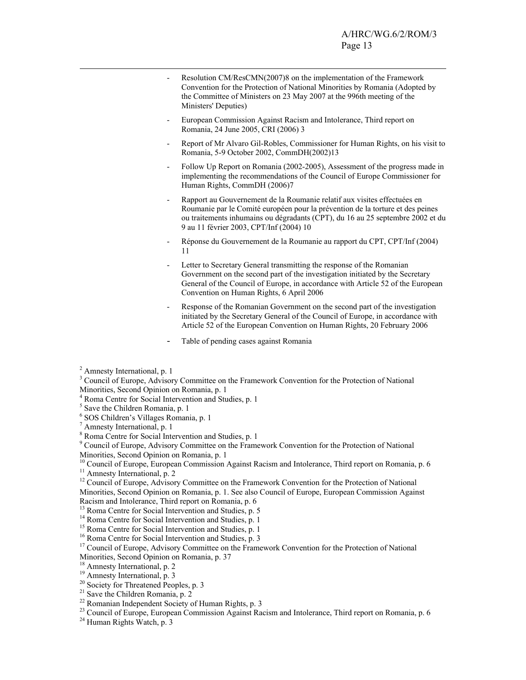- Resolution CM/ResCMN(2007)8 on the implementation of the Framework Convention for the Protection of National Minorities by Romania (Adopted by the Committee of Ministers on 23 May 2007 at the 996th meeting of the Ministers' Deputies)
- European Commission Against Racism and Intolerance, Third report on Romania, 24 June 2005, CRI (2006) 3
- Report of Mr Alvaro Gil-Robles, Commissioner for Human Rights, on his visit to Romania, 5-9 October 2002, CommDH(2002)13
- Follow Up Report on Romania (2002-2005), Assessment of the progress made in implementing the recommendations of the Council of Europe Commissioner for Human Rights, CommDH (2006)7
- Rapport au Gouvernement de la Roumanie relatif aux visites effectuées en Roumanie par le Comité européen pour la prévention de la torture et des peines ou traitements inhumains ou dégradants (CPT), du 16 au 25 septembre 2002 et du 9 au 11 février 2003, CPT/Inf (2004) 10
- Réponse du Gouvernement de la Roumanie au rapport du CPT, CPT/Inf (2004) 11
- Letter to Secretary General transmitting the response of the Romanian Government on the second part of the investigation initiated by the Secretary General of the Council of Europe, in accordance with Article 52 of the European Convention on Human Rights, 6 April 2006
- Response of the Romanian Government on the second part of the investigation initiated by the Secretary General of the Council of Europe, in accordance with Article 52 of the European Convention on Human Rights, 20 February 2006
- Table of pending cases against Romania

- 4 Roma Centre for Social Intervention and Studies, p. 1
- 5 Save the Children Romania, p. 1
- 6 SOS Children's Villages Romania, p. 1
- 7 Amnesty International, p. 1

8 Roma Centre for Social Intervention and Studies, p. 1

```
<sup>9</sup> Council of Europe, Advisory Committee on the Framework Convention for the Protection of National
Minorities, Second Opinion on Romania, p. 1
```
<sup>10</sup> Council of Europe, European Commission Against Racism and Intolerance, Third report on Romania, p. 6

<sup>11</sup> Amnesty International, p. 2

<sup>12</sup> Council of Europe, Advisory Committee on the Framework Convention for the Protection of National Minorities, Second Opinion on Romania, p. 1. See also Council of Europe, European Commission Against Racism and Intolerance, Third report on Romania, p. 6

<sup>13</sup> Roma Centre for Social Intervention and Studies, p. 5

- <sup>14</sup> Roma Centre for Social Intervention and Studies, p. 1
- <sup>15</sup> Roma Centre for Social Intervention and Studies, p. 1
- <sup>16</sup> Roma Centre for Social Intervention and Studies, p. 3
- <sup>17</sup> Council of Europe, Advisory Committee on the Framework Convention for the Protection of National
- Minorities, Second Opinion on Romania, p. 37
- <sup>18</sup> Amnesty International, p. 2

- <sup>20</sup> Society for Threatened Peoples, p. 3
- $2<sup>1</sup>$  Save the Children Romania, p. 2
- $22$  Romanian Independent Society of Human Rights, p. 3
- <sup>23</sup> Council of Europe, European Commission Against Racism and Intolerance, Third report on Romania, p. 6
- <sup>24</sup> Human Rights Watch, p. 3

<sup>&</sup>lt;sup>2</sup> Amnesty International, p. 1

<sup>&</sup>lt;sup>3</sup> Council of Europe, Advisory Committee on the Framework Convention for the Protection of National Minorities, Second Opinion on Romania, p. 1

<sup>&</sup>lt;sup>19</sup> Amnesty International, p. 3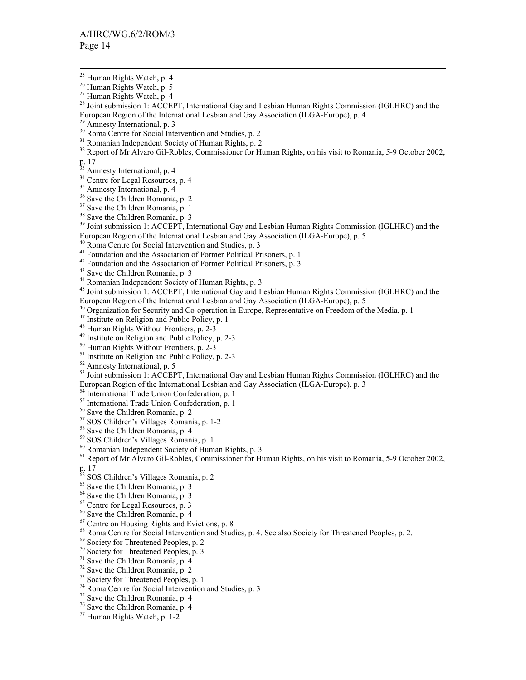<sup>28</sup> Joint submission 1: ACCEPT, International Gay and Lesbian Human Rights Commission (IGLHRC) and the European Region of the International Lesbian and Gay Association (ILGA-Europe), p. 4

<sup>32</sup> Report of Mr Alvaro Gil-Robles, Commissioner for Human Rights, on his visit to Romania, 5-9 October 2002,

p. 17

<sup>33</sup> Amnesty International, p. 4

<sup>34</sup> Centre for Legal Resources, p. 4

<sup>35</sup> Amnesty International, p. 4

36 Save the Children Romania, p. 2

<sup>37</sup> Save the Children Romania, p. 1

38 Save the Children Romania, p. 3

<sup>39</sup> Joint submission 1: ACCEPT, International Gay and Lesbian Human Rights Commission (IGLHRC) and the European Region of the International Lesbian and Gay Association (ILGA-Europe), p. 5

40 Roma Centre for Social Intervention and Studies, p. 3

<sup>41</sup> Foundation and the Association of Former Political Prisoners, p. 1

<sup>42</sup> Foundation and the Association of Former Political Prisoners, p. 3

43 Save the Children Romania, p. 3

44 Romanian Independent Society of Human Rights, p. 3

45 Joint submission 1: ACCEPT, International Gay and Lesbian Human Rights Commission (IGLHRC) and the European Region of the International Lesbian and Gay Association (ILGA-Europe), p. 5

<sup>46</sup> Organization for Security and Co-operation in Europe, Representative on Freedom of the Media, p. 1

 $47$  Institute on Religion and Public Policy, p. 1

48 Human Rights Without Frontiers, p. 2-3

49 Institute on Religion and Public Policy, p. 2-3

50 Human Rights Without Frontiers, p. 2-3

 $51$  Institute on Religion and Public Policy, p. 2-3

52 Amnesty International, p. 5

<sup>53</sup> Joint submission 1: ACCEPT, International Gay and Lesbian Human Rights Commission (IGLHRC) and the European Region of the International Lesbian and Gay Association (ILGA-Europe), p. 3

54 International Trade Union Confederation, p. 1

<sup>55</sup> International Trade Union Confederation, p. 1

56 Save the Children Romania, p. 2

57 SOS Children's Villages Romania, p. 1-2

<sup>58</sup> Save the Children Romania, p. 4

59 SOS Children's Villages Romania, p. 1

<sup>60</sup> Romanian Independent Society of Human Rights, p. 3

<sup>61</sup> Report of Mr Alvaro Gil-Robles, Commissioner for Human Rights, on his visit to Romania, 5-9 October 2002,

p. 17

 $62$  SOS Children's Villages Romania, p. 2

63 Save the Children Romania, p. 3  $63$  Save the Children Romania, p. 3<br> $64$  Save the Children Romania, p. 3

 $65$  Centre for Legal Resources, p. 3

66 Save the Children Romania, p. 4

67 Centre on Housing Rights and Evictions, p. 8

68 Roma Centre for Social Intervention and Studies, p. 4. See also Society for Threatened Peoples, p. 2.

69 Society for Threatened Peoples, p. 2

70 Society for Threatened Peoples, p. 3

 $71$  Save the Children Romania, p. 4

72 Save the Children Romania, p. 2

73 Society for Threatened Peoples, p. 1

74 Roma Centre for Social Intervention and Studies, p. 3

75 Save the Children Romania, p. 4

76 Save the Children Romania, p. 4

77 Human Rights Watch, p. 1-2

 $25$  Human Rights Watch, p. 4

<sup>&</sup>lt;sup>26</sup> Human Rights Watch, p. 5

<sup>&</sup>lt;sup>27</sup> Human Rights Watch, p. 4

 $29$  Amnesty International, p. 3

<sup>&</sup>lt;sup>30</sup> Roma Centre for Social Intervention and Studies, p. 2

<sup>31</sup> Romanian Independent Society of Human Rights, p. 2